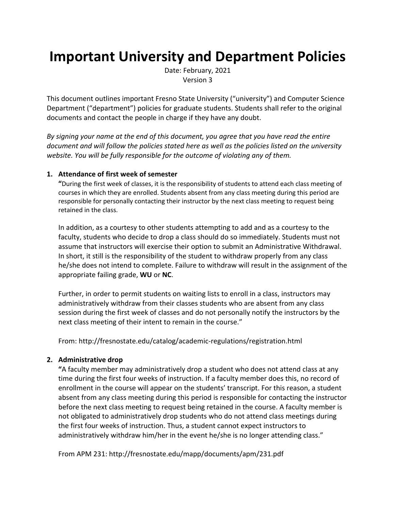# **Important University and Department Policies**

Date: February, 2021 Version 3

This document outlines important Fresno State University ("university") and Computer Science Department ("department") policies for graduate students. Students shall refer to the original documents and contact the people in charge if they have any doubt.

*By signing your name at the end of this document, you agree that you have read the entire document and will follow the policies stated here as well as the policies listed on the university website. You will be fully responsible for the outcome of violating any of them.*

#### **1. Attendance of first week of semester**

**"**During the first week of classes, it is the responsibility of students to attend each class meeting of courses in which they are enrolled. Students absent from any class meeting during this period are responsible for personally contacting their instructor by the next class meeting to request being retained in the class.

In addition, as a courtesy to other students attempting to add and as a courtesy to the faculty, students who decide to drop a class should do so immediately. Students must not assume that instructors will exercise their option to submit an Administrative Withdrawal. In short, it still is the responsibility of the student to withdraw properly from any class he/she does not intend to complete. Failure to withdraw will result in the assignment of the appropriate failing grade, **WU** or **NC**.

Further, in order to permit students on waiting lists to enroll in a class, instructors may administratively withdraw from their classes students who are absent from any class session during the first week of classes and do not personally notify the instructors by the next class meeting of their intent to remain in the course."

From: http://fresnostate.edu/catalog/academic-regulations/registration.html

#### **2. Administrative drop**

**"**A faculty member may administratively drop a student who does not attend class at any time during the first four weeks of instruction. If a faculty member does this, no record of enrollment in the course will appear on the students' transcript. For this reason, a student absent from any class meeting during this period is responsible for contacting the instructor before the next class meeting to request being retained in the course. A faculty member is not obligated to administratively drop students who do not attend class meetings during the first four weeks of instruction. Thus, a student cannot expect instructors to administratively withdraw him/her in the event he/she is no longer attending class."

From APM 231: http://fresnostate.edu/mapp/documents/apm/231.pdf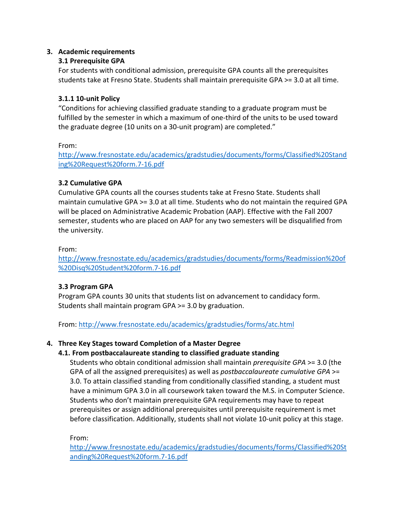## **3. Academic requirements**

## **3.1 Prerequisite GPA**

For students with conditional admission, prerequisite GPA counts all the prerequisites students take at Fresno State. Students shall maintain prerequisite GPA >= 3.0 at all time.

## **3.1.1 10-unit Policy**

"Conditions for achieving classified graduate standing to a graduate program must be fulfilled by the semester in which a maximum of one-third of the units to be used toward the graduate degree (10 units on a 30-unit program) are completed."

From:

http://www.fresnostate.edu/academics/gradstudies/documents/forms/Classified%20Stand ing%20Request%20form.7-16.pdf

# **3.2 Cumulative GPA**

Cumulative GPA counts all the courses students take at Fresno State. Students shall maintain cumulative GPA >= 3.0 at all time. Students who do not maintain the required GPA will be placed on Administrative Academic Probation (AAP). Effective with the Fall 2007 semester, students who are placed on AAP for any two semesters will be disqualified from the university.

## From:

http://www.fresnostate.edu/academics/gradstudies/documents/forms/Readmission%20of %20Disq%20Student%20form.7-16.pdf

# **3.3 Program GPA**

Program GPA counts 30 units that students list on advancement to candidacy form. Students shall maintain program GPA >= 3.0 by graduation.

From: http://www.fresnostate.edu/academics/gradstudies/forms/atc.html

# **4. Three Key Stages toward Completion of a Master Degree**

# **4.1. From postbaccalaureate standing to classified graduate standing**

Students who obtain conditional admission shall maintain *prerequisite GPA* >= 3.0 (the GPA of all the assigned prerequisites) as well as *postbaccalaureate cumulative GPA* >= 3.0. To attain classified standing from conditionally classified standing, a student must have a minimum GPA 3.0 in all coursework taken toward the M.S. in Computer Science. Students who don't maintain prerequisite GPA requirements may have to repeat prerequisites or assign additional prerequisites until prerequisite requirement is met before classification. Additionally, students shall not violate 10-unit policy at this stage.

From:

http://www.fresnostate.edu/academics/gradstudies/documents/forms/Classified%20St anding%20Request%20form.7-16.pdf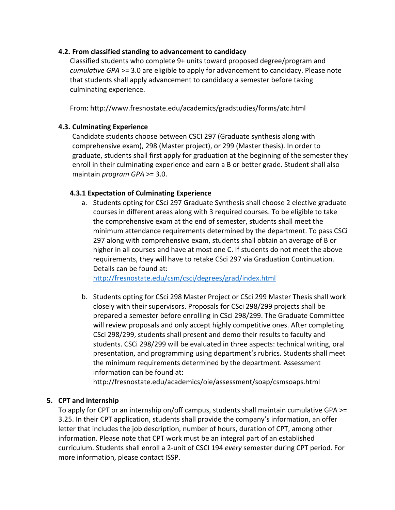### **4.2. From classified standing to advancement to candidacy**

Classified students who complete 9+ units toward proposed degree/program and *cumulative GPA* >= 3.0 are eligible to apply for advancement to candidacy. Please note that students shall apply advancement to candidacy a semester before taking culminating experience.

From: http://www.fresnostate.edu/academics/gradstudies/forms/atc.html

### **4.3. Culminating Experience**

Candidate students choose between CSCI 297 (Graduate synthesis along with comprehensive exam), 298 (Master project), or 299 (Master thesis). In order to graduate, students shall first apply for graduation at the beginning of the semester they enroll in their culminating experience and earn a B or better grade. Student shall also maintain *program GPA* >= 3.0.

### **4.3.1 Expectation of Culminating Experience**

a. Students opting for CSci 297 Graduate Synthesis shall choose 2 elective graduate courses in different areas along with 3 required courses. To be eligible to take the comprehensive exam at the end of semester, students shall meet the minimum attendance requirements determined by the department. To pass CSCi 297 along with comprehensive exam, students shall obtain an average of B or higher in all courses and have at most one C. If students do not meet the above requirements, they will have to retake CSci 297 via Graduation Continuation. Details can be found at:

http://fresnostate.edu/csm/csci/degrees/grad/index.html

b. Students opting for CSci 298 Master Project or CSci 299 Master Thesis shall work closely with their supervisors. Proposals for CSci 298/299 projects shall be prepared a semester before enrolling in CSci 298/299. The Graduate Committee will review proposals and only accept highly competitive ones. After completing CSci 298/299, students shall present and demo their results to faculty and students. CSCi 298/299 will be evaluated in three aspects: technical writing, oral presentation, and programming using department's rubrics. Students shall meet the minimum requirements determined by the department. Assessment information can be found at:

http://fresnostate.edu/academics/oie/assessment/soap/csmsoaps.html

## **5. CPT and internship**

To apply for CPT or an internship on/off campus, students shall maintain cumulative GPA >= 3.25. In their CPT application, students shall provide the company's information, an offer letter that includes the job description, number of hours, duration of CPT, among other information. Please note that CPT work must be an integral part of an established curriculum. Students shall enroll a 2-unit of CSCI 194 *every* semester during CPT period. For more information, please contact ISSP.